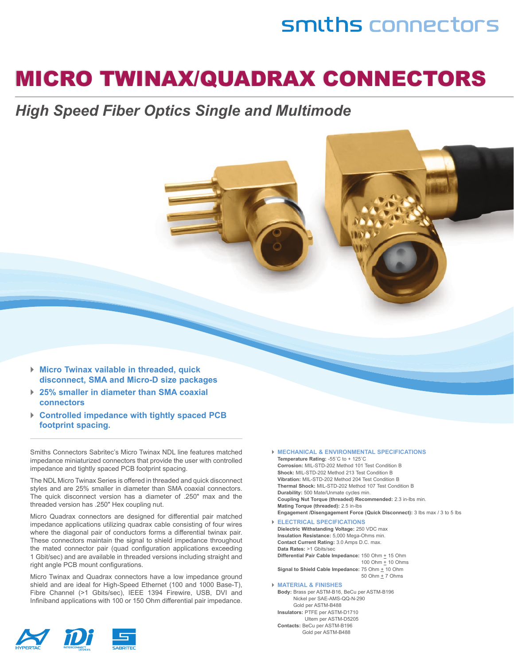## smiths connectors

## Micro Twinax/Quadrax connecTors

### *High Speed Fiber Optics Single and Multimode*

- *►* **Micro twinax vailable in threaded, quick disconnect, sMa and Micro-D size packages**
- *►* **25% smaller in diameter than sMa coaxial connectors**
- *►* **controlled impedance with tightly spaced Pcb footprint spacing.**

Smiths Connectors Sabritec's Micro Twinax NDL line features matched impedance miniaturized connectors that provide the user with controlled impedance and tightly spaced PCB footprint spacing.

The NDL Micro Twinax Series is offered in threaded and quick disconnect styles and are 25% smaller in diameter than SMA coaxial connectors. The quick disconnect version has a diameter of .250" max and the threaded version has .250" Hex coupling nut.

Micro Quadrax connectors are designed for differential pair matched impedance applications utilizing quadrax cable consisting of four wires where the diagonal pair of conductors forms a differential twinax pair. These connectors maintain the signal to shield impedance throughout the mated connector pair (quad configuration applications exceeding 1 Gbit/sec) and are available in threaded versions including straight and right angle PCB mount configurations.

Micro Twinax and Quadrax connectors have a low impedance ground shield and are ideal for High-Speed Ethernet (100 and 1000 Base-T), Fibre Channel (>1 Gbits/sec), IEEE 1394 Firewire, USB, DVI and Infiniband applications with 100 or 150 Ohm differential pair impedance.



*►* **MechanicaL & enVironMentaL sPeciFications**  Temperature Rating: -55°C to + 125°C

 **corrosion:** MIL-STD-202 Method 101 Test Condition B  **shock:** MIL-STD-202 Method 213 Test Condition B  **Vibration:** MIL-STD-202 Method 204 Test Condition B  **thermal shock:** MIL-STD-202 Method 107 Test Condition B  **Durability:** 500 Mate/Unmate cycles min. **Coupling Nut Torque (threaded) Recommended:** 2.3 in-lbs min. **Mating Torque (threaded):** 2.5 in-lbs  **engagement /Disengagement Force (Quick Disconnect):** 3 lbs max / 3 to 5 lbs

*►* **eLectricaL sPeciFications Dielectric withstanding Voltage:** 250 VDC max  **insulation resistance:** 5,000 mega-Ohms min. **Contact Current Rating:** 3.0 Amps D.C. max. **Data Rates: >1 Gbits/sec. Differential Pair Cable Impedance:** 150 Ohm  $\pm$  15 Ohm 100 Ohm  $\pm$  10 Ohms

**Signal to Shield Cable Impedance:** 75 Ohm  $\pm$  10 Ohm 50 Ohm  $\pm$  7 Ohms

#### *►* **MateriaL & Finishes**

**body:** Brass per aSTM-B16, BeCu per aSTM-B196 Nickel per Sae-aMS-QQ-N-290 Gold per aSTM-B488  **insulators:** PTFe per aSTM-D1710 Ultem per aSTM-D5205  **contacts:** BeCu per aSTM-B196 Gold per aSTM-B488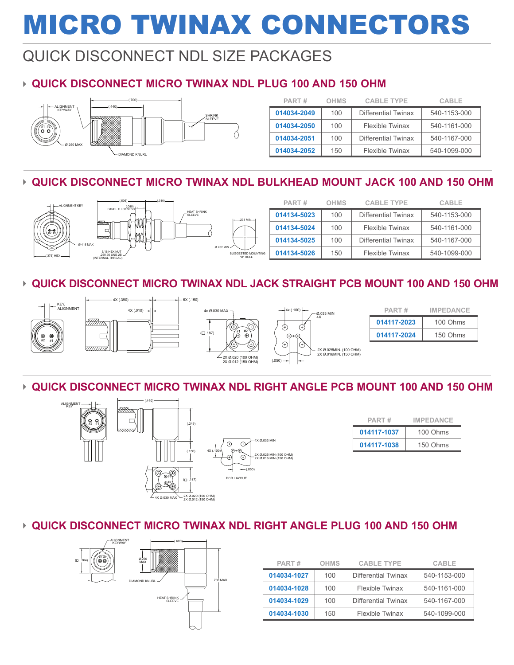## Micro Twinax Connectors

## QUICK DISCONNECT NDL SIZE PACKAGES

### ► **Quick Disconnect Micro Twinax NDL Plug 100 and 150 Ohm**



| PART#       | <b>OHMS</b> | <b>CABLE TYPE</b>      | <b>CABLE</b> |
|-------------|-------------|------------------------|--------------|
| 014034-2049 | 100         | Differential Twinax    | 540-1153-000 |
| 014034-2050 | 100         | <b>Flexible Twinax</b> | 540-1161-000 |
| 014034-2051 | 100         | Differential Twinax    | 540-1167-000 |
| 014034-2052 | 150         | Flexible Twinax        | 540-1099-000 |

#### ► **Quick Disconnect Micro Twinax NDL Bulkhead Mount Jack 100 and 150 Ohm**



#### ► **Quick Disconnect Micro Twinax NDL Jack Straight PCB Mount 100 and 150 Ohm**



#### ► **Quick Disconnect Micro Twinax NDL Right Angle PCB Mount 100 and 150 Ohm**



| PART#       | <b>IMPEDANCE</b> |  |
|-------------|------------------|--|
| 014117-1037 | 100 Ohms         |  |
| 014117-1038 | 150 Ohms         |  |

#### ► **Quick Disconnect Micro Twinax NDL Right Angle Plug 100 and 150 Ohm**



| PART#       | OHMS | <b>CABLE TYPE</b>   | CABLE        |
|-------------|------|---------------------|--------------|
| 014034-1027 | 100  | Differential Twinax | 540-1153-000 |
| 014034-1028 | 100  | Flexible Twinax     | 540-1161-000 |
| 014034-1029 | 100  | Differential Twinax | 540-1167-000 |
| 014034-1030 | 150  | Flexible Twinax     | 540-1099-000 |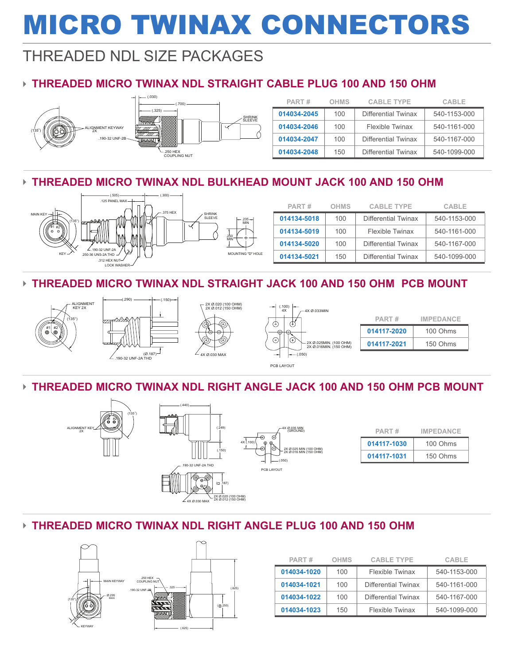# Micro Twinax Connectors

### threaded NDL SIZE PACKAGES

### ► **Threaded Micro Twinax NDL Straight Cable Plug 100 and 150 Ohm**



| PART#       | <b>OHMS</b> | <b>CABLE TYPE</b>          | CABLE        |
|-------------|-------------|----------------------------|--------------|
| 014034-2045 | 100         | <b>Differential Twinax</b> | 540-1153-000 |
| 014034-2046 | 100         | Flexible Twinax            | 540-1161-000 |
| 014034-2047 | $100 -$     | Differential Twinax        | 540-1167-000 |
| 014034-2048 | 150         | Differential Twinax        | 540-1099-000 |

#### ► **Threaded Micro Twinax NDL Bulkhead Mount Jack 100 and 150 Ohm**



| PART#       | <b>OHMS</b> | <b>CABLE TYPE</b>   | CABLE        |
|-------------|-------------|---------------------|--------------|
| 014134-5018 | 100         | Differential Twinax | 540-1153-000 |
| 014134-5019 | 100         | Flexible Twinax     | 540-1161-000 |
| 014134-5020 | 100         | Differential Twinax | 540-1167-000 |
| 014134-5021 | 150         | Differential Twinax | 540-1099-000 |

#### ► **Threaded Micro Twinax NDL Straight Jack 100 and 150 Ohm PCB Mount**







|                 | $-2X \oslash 0.020$ (100 OHM)<br>2X Ø.012 (150 OHM) | (.100)<br>4X<br>4X Ø.033MIN                                                     |  |
|-----------------|-----------------------------------------------------|---------------------------------------------------------------------------------|--|
| (Ø.187)⊣<br>THD | 4<br>⊕<br>⊕<br>4X Ø.030 MAX                         | $\pm$<br>$^{+}$<br>- 2X Ø.025MIN. (100 OHM)<br>2X Ø.016MIN. (150 OHM)<br>(.050) |  |
|                 |                                                     | PCB LAYOUT                                                                      |  |

| PART#       | <b>IMPEDANCE</b> |
|-------------|------------------|
| 014117-2020 | 100 Ohms         |
| 014117-2021 | 150 Ohms         |

#### ► **Threaded Micro Twinax NDL Right Angle Jack 100 and 150 Ohm PCB Mount**



#### ► **Threaded Micro Twinax NDL Right Angle Plug 100 and 150 Ohm**



| PART#       | <b>OHMS</b> | <b>CABLE TYPE</b>   | CABLE        |
|-------------|-------------|---------------------|--------------|
| 014034-1020 | 100         | Flexible Twinax     | 540-1153-000 |
| 014034-1021 | $100 -$     | Differential Twinax | 540-1161-000 |
| 014034-1022 | $100 -$     | Differential Twinax | 540-1167-000 |
| 014034-1023 | 150         | Flexible Twinax     | 540-1099-000 |